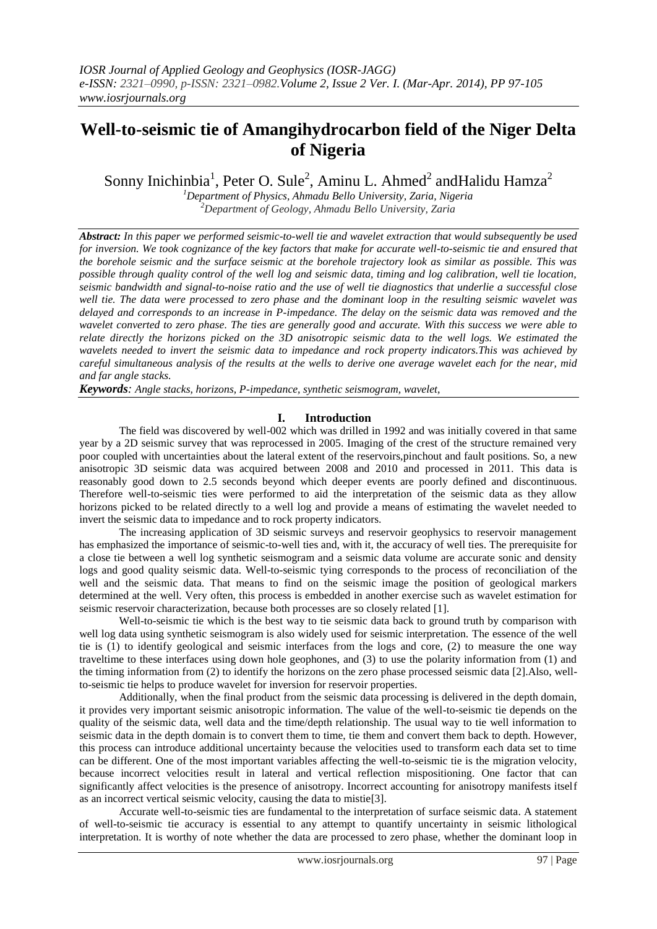# **Well-to-seismic tie of Amangihydrocarbon field of the Niger Delta of Nigeria**

Sonny Inichinbia<sup>1</sup>, Peter O. Sule<sup>2</sup>, Aminu L. Ahmed<sup>2</sup> and Halidu Hamza<sup>2</sup>

*<sup>1</sup>Department of Physics, Ahmadu Bello University, Zaria, Nigeria <sup>2</sup>Department of Geology, Ahmadu Bello University, Zaria*

*Abstract: In this paper we performed seismic-to-well tie and wavelet extraction that would subsequently be used for inversion. We took cognizance of the key factors that make for accurate well-to-seismic tie and ensured that the borehole seismic and the surface seismic at the borehole trajectory look as similar as possible. This was possible through quality control of the well log and seismic data, timing and log calibration, well tie location, seismic bandwidth and signal-to-noise ratio and the use of well tie diagnostics that underlie a successful close well tie. The data were processed to zero phase and the dominant loop in the resulting seismic wavelet was delayed and corresponds to an increase in P-impedance. The delay on the seismic data was removed and the wavelet converted to zero phase. The ties are generally good and accurate. With this success we were able to relate directly the horizons picked on the 3D anisotropic seismic data to the well logs. We estimated the wavelets needed to invert the seismic data to impedance and rock property indicators.This was achieved by careful simultaneous analysis of the results at the wells to derive one average wavelet each for the near, mid and far angle stacks.*

*Keywords: Angle stacks, horizons, P-impedance, synthetic seismogram, wavelet,*

## **I. Introduction**

The field was discovered by well-002 which was drilled in 1992 and was initially covered in that same year by a 2D seismic survey that was reprocessed in 2005. Imaging of the crest of the structure remained very poor coupled with uncertainties about the lateral extent of the reservoirs,pinchout and fault positions. So, a new anisotropic 3D seismic data was acquired between 2008 and 2010 and processed in 2011. This data is reasonably good down to 2.5 seconds beyond which deeper events are poorly defined and discontinuous. Therefore well-to-seismic ties were performed to aid the interpretation of the seismic data as they allow horizons picked to be related directly to a well log and provide a means of estimating the wavelet needed to invert the seismic data to impedance and to rock property indicators.

The increasing application of 3D seismic surveys and reservoir geophysics to reservoir management has emphasized the importance of seismic-to-well ties and, with it, the accuracy of well ties. The prerequisite for a close tie between a well log synthetic seismogram and a seismic data volume are accurate sonic and density logs and good quality seismic data. Well-to-seismic tying corresponds to the process of reconciliation of the well and the seismic data. That means to find on the seismic image the position of geological markers determined at the well. Very often, this process is embedded in another exercise such as wavelet estimation for seismic reservoir characterization, because both processes are so closely related [1].

Well-to-seismic tie which is the best way to tie seismic data back to ground truth by comparison with well log data using synthetic seismogram is also widely used for seismic interpretation. The essence of the well tie is (1) to identify geological and seismic interfaces from the logs and core, (2) to measure the one way traveltime to these interfaces using down hole geophones, and (3) to use the polarity information from (1) and the timing information from (2) to identify the horizons on the zero phase processed seismic data [2].Also, wellto-seismic tie helps to produce wavelet for inversion for reservoir properties.

Additionally, when the final product from the seismic data processing is delivered in the depth domain, it provides very important seismic anisotropic information. The value of the well-to-seismic tie depends on the quality of the seismic data, well data and the time/depth relationship. The usual way to tie well information to seismic data in the depth domain is to convert them to time, tie them and convert them back to depth. However, this process can introduce additional uncertainty because the velocities used to transform each data set to time can be different. One of the most important variables affecting the well-to-seismic tie is the migration velocity, because incorrect velocities result in lateral and vertical reflection mispositioning. One factor that can significantly affect velocities is the presence of anisotropy. Incorrect accounting for anisotropy manifests itself as an incorrect vertical seismic velocity, causing the data to mistie[3].

Accurate well-to-seismic ties are fundamental to the interpretation of surface seismic data. A statement of well-to-seismic tie accuracy is essential to any attempt to quantify uncertainty in seismic lithological interpretation. It is worthy of note whether the data are processed to zero phase, whether the dominant loop in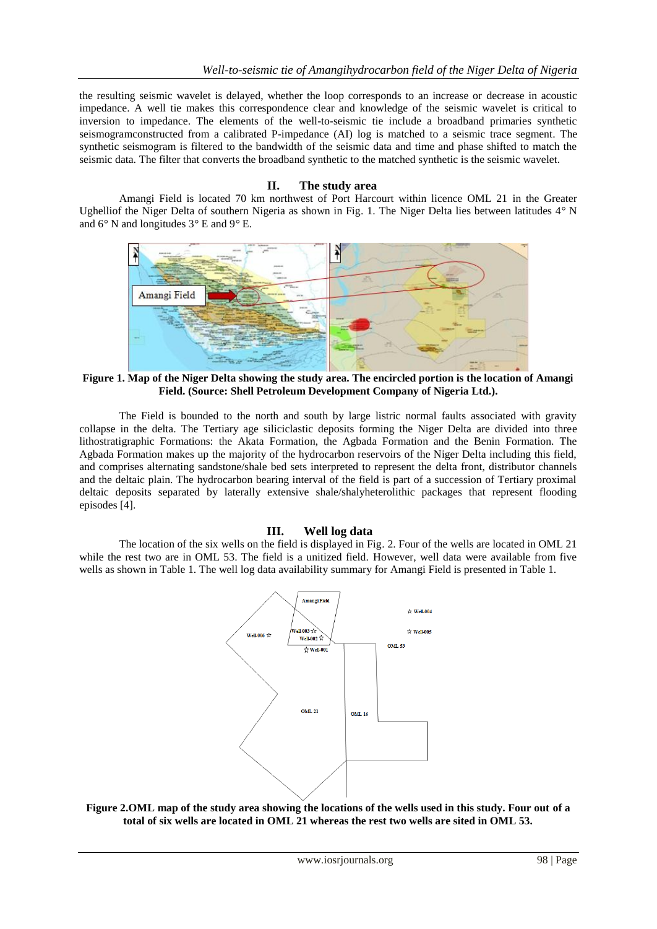the resulting seismic wavelet is delayed, whether the loop corresponds to an increase or decrease in acoustic impedance. A well tie makes this correspondence clear and knowledge of the seismic wavelet is critical to inversion to impedance. The elements of the well-to-seismic tie include a broadband primaries synthetic seismogramconstructed from a calibrated P-impedance (AI) log is matched to a seismic trace segment. The synthetic seismogram is filtered to the bandwidth of the seismic data and time and phase shifted to match the seismic data. The filter that converts the broadband synthetic to the matched synthetic is the seismic wavelet.

## **II. The study area**

Amangi Field is located 70 km northwest of Port Harcourt within licence OML 21 in the Greater Ughelliof the Niger Delta of southern Nigeria as shown in Fig. 1. The Niger Delta lies between latitudes 4*°* N and 6*°* N and longitudes 3*°* E and 9*°* E.



**Figure 1. Map of the Niger Delta showing the study area. The encircled portion is the location of Amangi Field. (Source: Shell Petroleum Development Company of Nigeria Ltd.).**

The Field is bounded to the north and south by large listric normal faults associated with gravity collapse in the delta. The Tertiary age siliciclastic deposits forming the Niger Delta are divided into three lithostratigraphic Formations: the Akata Formation, the Agbada Formation and the Benin Formation. The Agbada Formation makes up the majority of the hydrocarbon reservoirs of the Niger Delta including this field, and comprises alternating sandstone/shale bed sets interpreted to represent the delta front, distributor channels and the deltaic plain. The hydrocarbon bearing interval of the field is part of a succession of Tertiary proximal deltaic deposits separated by laterally extensive shale/shalyheterolithic packages that represent flooding episodes [4].

## **III. Well log data**

The location of the six wells on the field is displayed in Fig. 2. Four of the wells are located in OML 21 while the rest two are in OML 53. The field is a unitized field. However, well data were available from five wells as shown in Table 1. The well log data availability summary for Amangi Field is presented in Table 1.



**Figure 2.OML map of the study area showing the locations of the wells used in this study. Four out of a total of six wells are located in OML 21 whereas the rest two wells are sited in OML 53.**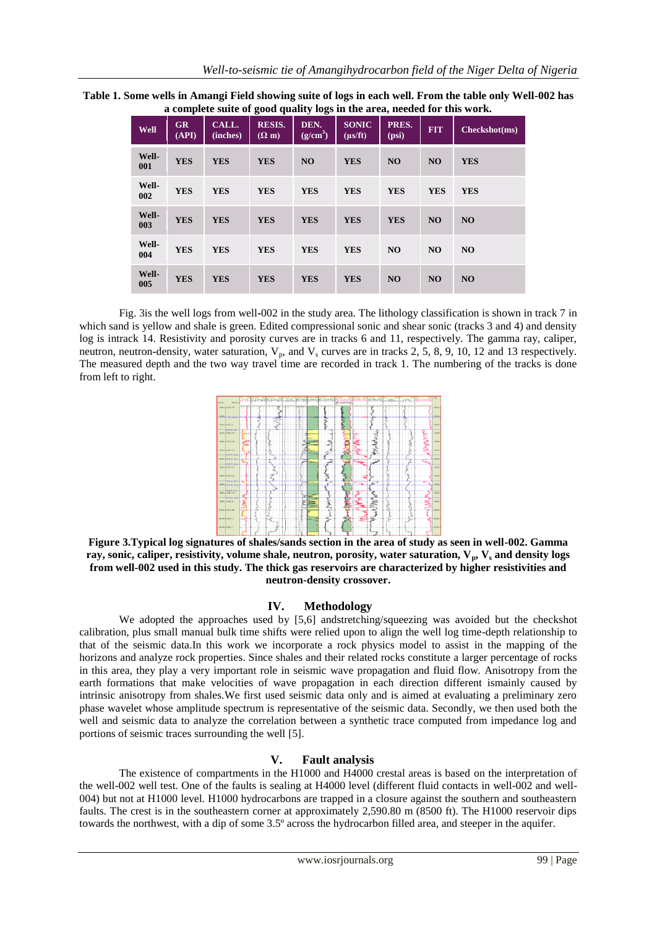| Table 1. Some wells in Amangi Field showing suite of logs in each well. From the table only Well-002 has |  |
|----------------------------------------------------------------------------------------------------------|--|
| a complete suite of good quality logs in the area, needed for this work.                                 |  |

| <b>Well</b>  | <b>GR</b><br>(API) | CALL.<br>(inches) | <b>RESIS.</b><br>$(\Omega$ m) | DEN.<br>(g/cm <sup>3</sup> ) | <b>SONIC</b><br>$(\mu s/ft)$ | PRES.<br>(psi) | <b>FIT</b>     | Checkshot(ms)  |
|--------------|--------------------|-------------------|-------------------------------|------------------------------|------------------------------|----------------|----------------|----------------|
| Well-<br>001 | <b>YES</b>         | <b>YES</b>        | <b>YES</b>                    | N <sub>O</sub>               | <b>YES</b>                   | <b>NO</b>      | <b>NO</b>      | <b>YES</b>     |
| Well-<br>002 | <b>YES</b>         | <b>YES</b>        | <b>YES</b>                    | <b>YES</b>                   | <b>YES</b>                   | <b>YES</b>     | <b>YES</b>     | <b>YES</b>     |
| Well-<br>003 | <b>YES</b>         | <b>YES</b>        | <b>YES</b>                    | <b>YES</b>                   | <b>YES</b>                   | <b>YES</b>     | N <sub>O</sub> | NO             |
| Well-<br>004 | <b>YES</b>         | <b>YES</b>        | <b>YES</b>                    | <b>YES</b>                   | <b>YES</b>                   | N <sub>O</sub> | N <sub>O</sub> | N <sub>O</sub> |
| Well-<br>005 | <b>YES</b>         | <b>YES</b>        | <b>YES</b>                    | <b>YES</b>                   | <b>YES</b>                   | <b>NO</b>      | <b>NO</b>      | NO             |

Fig. 3is the well logs from well**-**002 in the study area. The lithology classification is shown in track 7 in which sand is yellow and shale is green. Edited compressional sonic and shear sonic (tracks 3 and 4) and density log is intrack 14. Resistivity and porosity curves are in tracks 6 and 11, respectively. The gamma ray, caliper, neutron, neutron-density, water saturation,  $V_p$ , and  $V_s$  curves are in tracks 2, 5, 8, 9, 10, 12 and 13 respectively. The measured depth and the two way travel time are recorded in track 1. The numbering of the tracks is done from left to right.



**Figure 3.Typical log signatures of shales/sands section in the area of study as seen in well-002. Gamma ray, sonic, caliper, resistivity, volume shale, neutron, porosity, water saturation, Vp, V<sup>s</sup> and density logs from well-002 used in this study. The thick gas reservoirs are characterized by higher resistivities and neutron-density crossover.**

## **IV. Methodology**

We adopted the approaches used by [5,6] and tretching/squeezing was avoided but the checkshot calibration, plus small manual bulk time shifts were relied upon to align the well log time-depth relationship to that of the seismic data.In this work we incorporate a rock physics model to assist in the mapping of the horizons and analyze rock properties. Since shales and their related rocks constitute a larger percentage of rocks in this area, they play a very important role in seismic wave propagation and fluid flow. Anisotropy from the earth formations that make velocities of wave propagation in each direction different ismainly caused by intrinsic anisotropy from shales.We first used seismic data only and is aimed at evaluating a preliminary zero phase wavelet whose amplitude spectrum is representative of the seismic data. Secondly, we then used both the well and seismic data to analyze the correlation between a synthetic trace computed from impedance log and portions of seismic traces surrounding the well [5].

## **V. Fault analysis**

The existence of compartments in the H1000 and H4000 crestal areas is based on the interpretation of the well-002 well test. One of the faults is sealing at H4000 level (different fluid contacts in well-002 and well-004) but not at H1000 level. H1000 hydrocarbons are trapped in a closure against the southern and southeastern faults. The crest is in the southeastern corner at approximately 2,590.80 m (8500 ft). The H1000 reservoir dips towards the northwest, with a dip of some 3.5º across the hydrocarbon filled area, and steeper in the aquifer.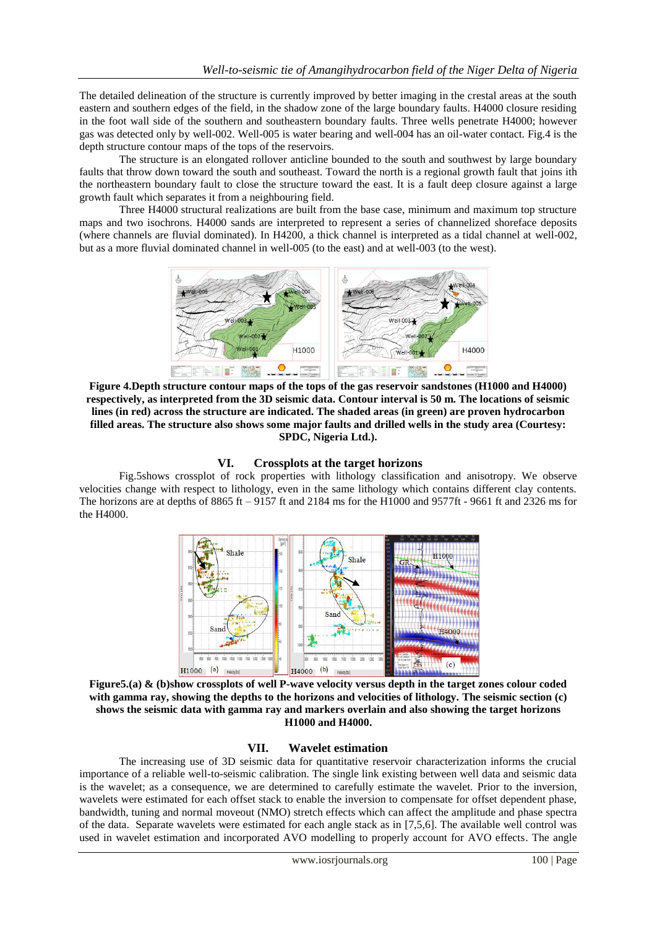The detailed delineation of the structure is currently improved by better imaging in the crestal areas at the south eastern and southern edges of the field, in the shadow zone of the large boundary faults. H4000 closure residing in the foot wall side of the southern and southeastern boundary faults. Three wells penetrate H4000; however gas was detected only by well-002. Well-005 is water bearing and well-004 has an oil-water contact. Fig.4 is the depth structure contour maps of the tops of the reservoirs.

The structure is an elongated rollover anticline bounded to the south and southwest by large boundary faults that throw down toward the south and southeast. Toward the north is a regional growth fault that joins ith the northeastern boundary fault to close the structure toward the east. It is a fault deep closure against a large growth fault which separates it from a neighbouring field.

Three H4000 structural realizations are built from the base case, minimum and maximum top structure maps and two isochrons. H4000 sands are interpreted to represent a series of channelized shoreface deposits (where channels are fluvial dominated). In H4200, a thick channel is interpreted as a tidal channel at well-002, but as a more fluvial dominated channel in well-005 (to the east) and at well-003 (to the west).



**Figure 4.Depth structure contour maps of the tops of the gas reservoir sandstones (H1000 and H4000) respectively, as interpreted from the 3D seismic data. Contour interval is 50 m. The locations of seismic lines (in red) across the structure are indicated. The shaded areas (in green) are proven hydrocarbon filled areas. The structure also shows some major faults and drilled wells in the study area (Courtesy: SPDC, Nigeria Ltd.).**

## **VI. Crossplots at the target horizons**

Fig.5shows crossplot of rock properties with lithology classification and anisotropy. We observe velocities change with respect to lithology, even in the same lithology which contains different clay contents. The horizons are at depths of 8865 ft – 9157 ft and 2184 ms for the H1000 and 9577ft - 9661 ft and 2326 ms for the H4000.



**Figure5.(a) & (b)show crossplots of well P-wave velocity versus depth in the target zones colour coded with gamma ray, showing the depths to the horizons and velocities of lithology. The seismic section (c) shows the seismic data with gamma ray and markers overlain and also showing the target horizons H1000 and H4000.**

#### **VII. Wavelet estimation**

The increasing use of 3D seismic data for quantitative reservoir characterization informs the crucial importance of a reliable well-to-seismic calibration. The single link existing between well data and seismic data is the wavelet; as a consequence, we are determined to carefully estimate the wavelet. Prior to the inversion, wavelets were estimated for each offset stack to enable the inversion to compensate for offset dependent phase, bandwidth, tuning and normal moveout (NMO) stretch effects which can affect the amplitude and phase spectra of the data. Separate wavelets were estimated for each angle stack as in [7,5,6]. The available well control was used in wavelet estimation and incorporated AVO modelling to properly account for AVO effects. The angle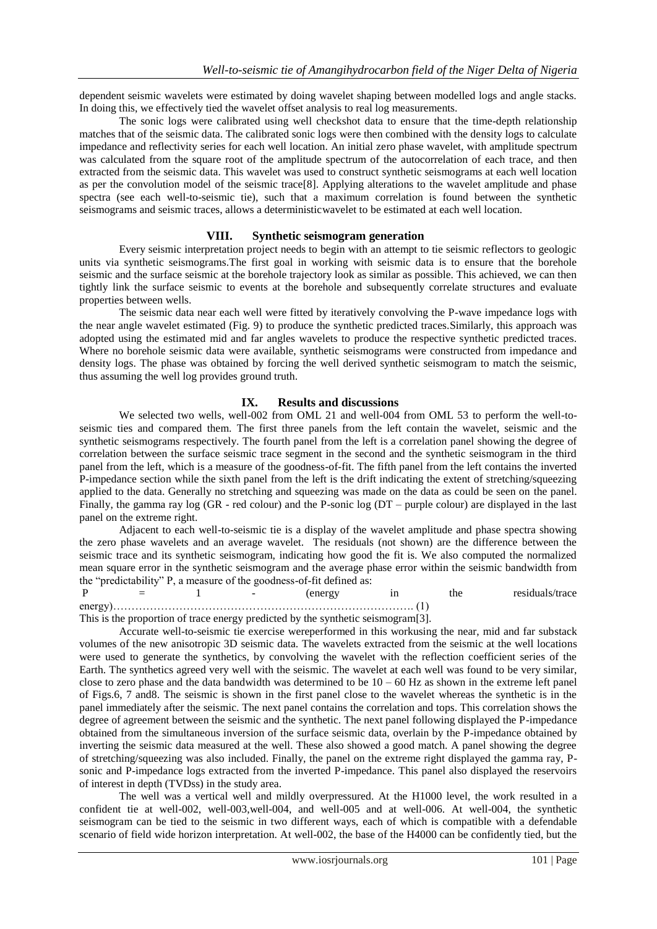dependent seismic wavelets were estimated by doing wavelet shaping between modelled logs and angle stacks. In doing this, we effectively tied the wavelet offset analysis to real log measurements.

The sonic logs were calibrated using well checkshot data to ensure that the time-depth relationship matches that of the seismic data. The calibrated sonic logs were then combined with the density logs to calculate impedance and reflectivity series for each well location. An initial zero phase wavelet, with amplitude spectrum was calculated from the square root of the amplitude spectrum of the autocorrelation of each trace, and then extracted from the seismic data. This wavelet was used to construct synthetic seismograms at each well location as per the convolution model of the seismic trace[8]. Applying alterations to the wavelet amplitude and phase spectra (see each well-to-seismic tie), such that a maximum correlation is found between the synthetic seismograms and seismic traces, allows a deterministicwavelet to be estimated at each well location.

#### **VIII. Synthetic seismogram generation**

Every seismic interpretation project needs to begin with an attempt to tie seismic reflectors to geologic units via synthetic seismograms.The first goal in working with seismic data is to ensure that the borehole seismic and the surface seismic at the borehole trajectory look as similar as possible. This achieved, we can then tightly link the surface seismic to events at the borehole and subsequently correlate structures and evaluate properties between wells.

The seismic data near each well were fitted by iteratively convolving the P-wave impedance logs with the near angle wavelet estimated (Fig. 9) to produce the synthetic predicted traces.Similarly, this approach was adopted using the estimated mid and far angles wavelets to produce the respective synthetic predicted traces. Where no borehole seismic data were available, synthetic seismograms were constructed from impedance and density logs. The phase was obtained by forcing the well derived synthetic seismogram to match the seismic, thus assuming the well log provides ground truth.

## **IX. Results and discussions**

We selected two wells, well-002 from OML 21 and well-004 from OML 53 to perform the well-toseismic ties and compared them. The first three panels from the left contain the wavelet, seismic and the synthetic seismograms respectively. The fourth panel from the left is a correlation panel showing the degree of correlation between the surface seismic trace segment in the second and the synthetic seismogram in the third panel from the left, which is a measure of the goodness-of-fit. The fifth panel from the left contains the inverted P-impedance section while the sixth panel from the left is the drift indicating the extent of stretching/squeezing applied to the data. Generally no stretching and squeezing was made on the data as could be seen on the panel. Finally, the gamma ray log (GR - red colour) and the P-sonic log (DT – purple colour) are displayed in the last panel on the extreme right.

Adjacent to each well-to-seismic tie is a display of the wavelet amplitude and phase spectra showing the zero phase wavelets and an average wavelet. The residuals (not shown) are the difference between the seismic trace and its synthetic seismogram, indicating how good the fit is. We also computed the normalized mean square error in the synthetic seismogram and the average phase error within the seismic bandwidth from the "predictability" P, a measure of the goodness-of-fit defined as:

 $P = 1 -$  (energy in the residuals/trace energy)………………………………………………………………………. (1)

This is the proportion of trace energy predicted by the synthetic seismogram[3].

Accurate well-to-seismic tie exercise wereperformed in this workusing the near, mid and far substack volumes of the new anisotropic 3D seismic data. The wavelets extracted from the seismic at the well locations were used to generate the synthetics, by convolving the wavelet with the reflection coefficient series of the Earth. The synthetics agreed very well with the seismic. The wavelet at each well was found to be very similar, close to zero phase and the data bandwidth was determined to be  $10 - 60$  Hz as shown in the extreme left panel of Figs.6, 7 and8. The seismic is shown in the first panel close to the wavelet whereas the synthetic is in the panel immediately after the seismic. The next panel contains the correlation and tops. This correlation shows the degree of agreement between the seismic and the synthetic. The next panel following displayed the P-impedance obtained from the simultaneous inversion of the surface seismic data, overlain by the P-impedance obtained by inverting the seismic data measured at the well. These also showed a good match. A panel showing the degree of stretching/squeezing was also included. Finally, the panel on the extreme right displayed the gamma ray, Psonic and P-impedance logs extracted from the inverted P-impedance. This panel also displayed the reservoirs of interest in depth (TVDss) in the study area.

The well was a vertical well and mildly overpressured. At the H1000 level, the work resulted in a confident tie at well-002, well-003,well-004, and well-005 and at well-006. At well-004, the synthetic seismogram can be tied to the seismic in two different ways, each of which is compatible with a defendable scenario of field wide horizon interpretation. At well-002, the base of the H4000 can be confidently tied, but the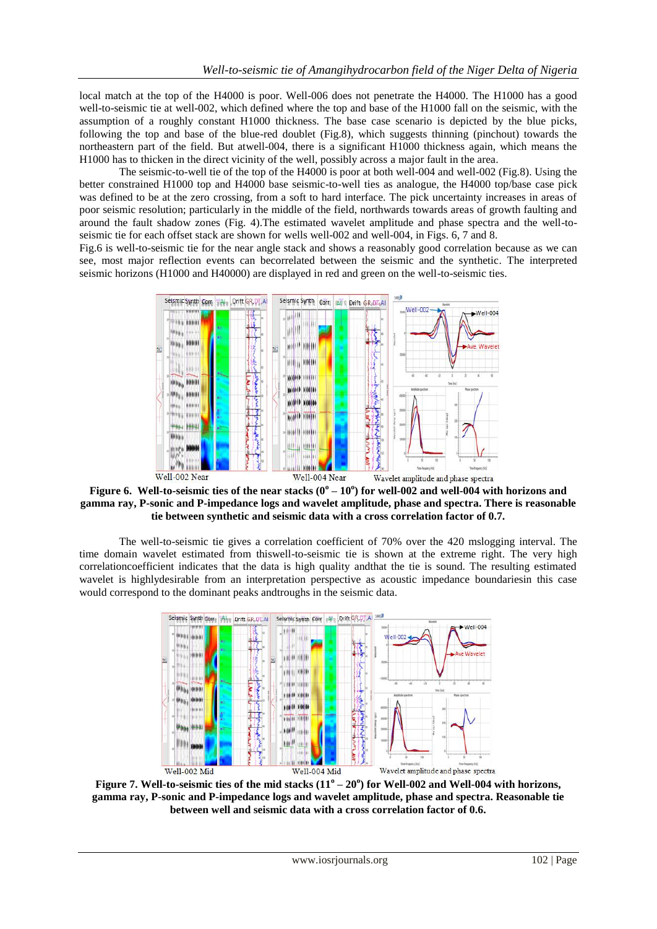local match at the top of the H4000 is poor. Well-006 does not penetrate the H4000. The H1000 has a good well-to-seismic tie at well-002, which defined where the top and base of the H1000 fall on the seismic, with the assumption of a roughly constant H1000 thickness. The base case scenario is depicted by the blue picks, following the top and base of the blue-red doublet (Fig.8), which suggests thinning (pinchout) towards the northeastern part of the field. But atwell-004, there is a significant H1000 thickness again, which means the H1000 has to thicken in the direct vicinity of the well, possibly across a major fault in the area.

The seismic-to-well tie of the top of the H4000 is poor at both well-004 and well-002 (Fig.8). Using the better constrained H1000 top and H4000 base seismic-to-well ties as analogue, the H4000 top/base case pick was defined to be at the zero crossing, from a soft to hard interface. The pick uncertainty increases in areas of poor seismic resolution; particularly in the middle of the field, northwards towards areas of growth faulting and around the fault shadow zones (Fig. 4).The estimated wavelet amplitude and phase spectra and the well-toseismic tie for each offset stack are shown for wells well-002 and well-004, in Figs. 6, 7 and 8.

Fig.6 is well-to-seismic tie for the near angle stack and shows a reasonably good correlation because as we can see, most major reflection events can becorrelated between the seismic and the synthetic. The interpreted seismic horizons (H1000 and H40000) are displayed in red and green on the well-to-seismic ties.



Figure 6. Well-to-seismic ties of the near stacks  $(0^{\circ} - 10^{\circ})$  for well-002 and well-004 with horizons and **gamma ray, P-sonic and P-impedance logs and wavelet amplitude, phase and spectra. There is reasonable tie between synthetic and seismic data with a cross correlation factor of 0.7.**

The well-to-seismic tie gives a correlation coefficient of 70% over the 420 mslogging interval. The time domain wavelet estimated from thiswell-to-seismic tie is shown at the extreme right. The very high correlationcoefficient indicates that the data is high quality andthat the tie is sound. The resulting estimated wavelet is highlydesirable from an interpretation perspective as acoustic impedance boundariesin this case would correspond to the dominant peaks andtroughs in the seismic data.



Figure 7. Well-to-seismic ties of the mid stacks  $(11^{\circ} - 20^{\circ})$  for Well-002 and Well-004 with horizons, **gamma ray, P-sonic and P-impedance logs and wavelet amplitude, phase and spectra. Reasonable tie between well and seismic data with a cross correlation factor of 0.6.**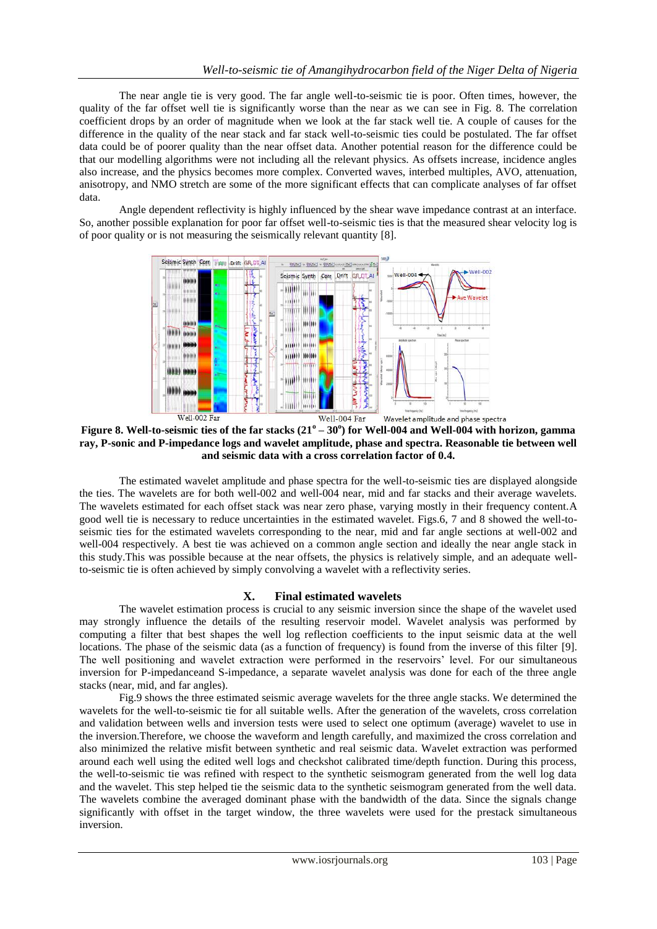The near angle tie is very good. The far angle well-to-seismic tie is poor. Often times, however, the quality of the far offset well tie is significantly worse than the near as we can see in Fig. 8. The correlation coefficient drops by an order of magnitude when we look at the far stack well tie. A couple of causes for the difference in the quality of the near stack and far stack well-to-seismic ties could be postulated. The far offset data could be of poorer quality than the near offset data. Another potential reason for the difference could be that our modelling algorithms were not including all the relevant physics. As offsets increase, incidence angles also increase, and the physics becomes more complex. Converted waves, interbed multiples, AVO, attenuation, anisotropy, and NMO stretch are some of the more significant effects that can complicate analyses of far offset data.

Angle dependent reflectivity is highly influenced by the shear wave impedance contrast at an interface. So, another possible explanation for poor far offset well-to-seismic ties is that the measured shear velocity log is of poor quality or is not measuring the seismically relevant quantity [8].



**Figure 8. Well-to-seismic ties of the far stacks (21<sup>o</sup> – 30<sup>o</sup> ) for Well-004 and Well-004 with horizon, gamma ray, P-sonic and P-impedance logs and wavelet amplitude, phase and spectra. Reasonable tie between well and seismic data with a cross correlation factor of 0.4.**

The estimated wavelet amplitude and phase spectra for the well-to-seismic ties are displayed alongside the ties. The wavelets are for both well-002 and well-004 near, mid and far stacks and their average wavelets. The wavelets estimated for each offset stack was near zero phase, varying mostly in their frequency content.A good well tie is necessary to reduce uncertainties in the estimated wavelet. Figs.6, 7 and 8 showed the well-toseismic ties for the estimated wavelets corresponding to the near, mid and far angle sections at well-002 and well-004 respectively. A best tie was achieved on a common angle section and ideally the near angle stack in this study.This was possible because at the near offsets, the physics is relatively simple, and an adequate wellto-seismic tie is often achieved by simply convolving a wavelet with a reflectivity series.

## **X. Final estimated wavelets**

The wavelet estimation process is crucial to any seismic inversion since the shape of the wavelet used may strongly influence the details of the resulting reservoir model. Wavelet analysis was performed by computing a filter that best shapes the well log reflection coefficients to the input seismic data at the well locations. The phase of the seismic data (as a function of frequency) is found from the inverse of this filter [9]. The well positioning and wavelet extraction were performed in the reservoirs' level. For our simultaneous inversion for P-impedanceand S-impedance, a separate wavelet analysis was done for each of the three angle stacks (near, mid, and far angles).

Fig.9 shows the three estimated seismic average wavelets for the three angle stacks. We determined the wavelets for the well-to-seismic tie for all suitable wells. After the generation of the wavelets, cross correlation and validation between wells and inversion tests were used to select one optimum (average) wavelet to use in the inversion.Therefore, we choose the waveform and length carefully, and maximized the cross correlation and also minimized the relative misfit between synthetic and real seismic data. Wavelet extraction was performed around each well using the edited well logs and checkshot calibrated time/depth function. During this process, the well-to-seismic tie was refined with respect to the synthetic seismogram generated from the well log data and the wavelet. This step helped tie the seismic data to the synthetic seismogram generated from the well data. The wavelets combine the averaged dominant phase with the bandwidth of the data. Since the signals change significantly with offset in the target window, the three wavelets were used for the prestack simultaneous inversion.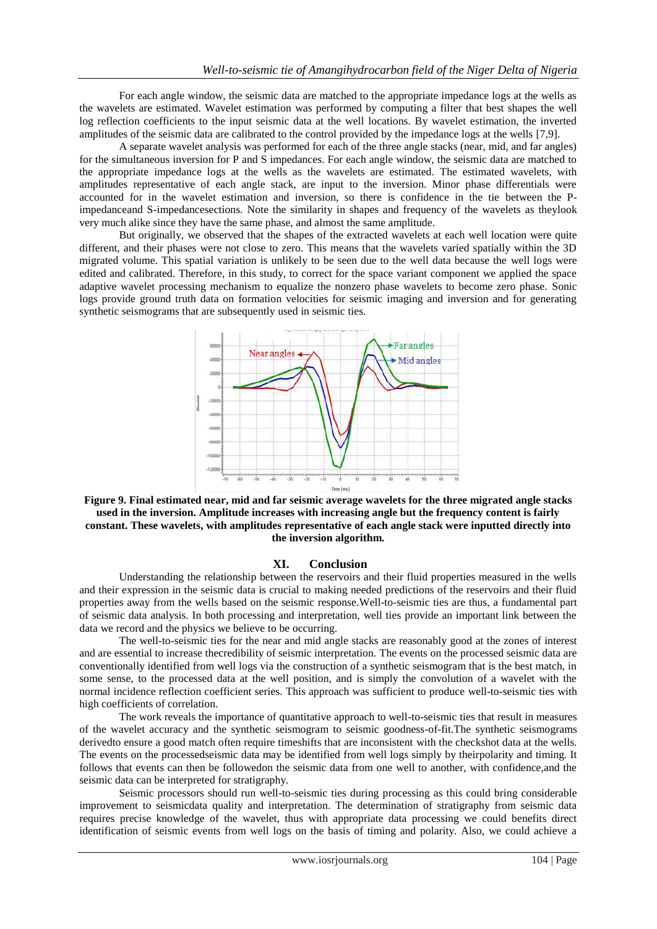For each angle window, the seismic data are matched to the appropriate impedance logs at the wells as the wavelets are estimated. Wavelet estimation was performed by computing a filter that best shapes the well log reflection coefficients to the input seismic data at the well locations. By wavelet estimation, the inverted amplitudes of the seismic data are calibrated to the control provided by the impedance logs at the wells [7,9].

A separate wavelet analysis was performed for each of the three angle stacks (near, mid, and far angles) for the simultaneous inversion for P and S impedances. For each angle window, the seismic data are matched to the appropriate impedance logs at the wells as the wavelets are estimated. The estimated wavelets, with amplitudes representative of each angle stack, are input to the inversion. Minor phase differentials were accounted for in the wavelet estimation and inversion, so there is confidence in the tie between the Pimpedanceand S-impedancesections. Note the similarity in shapes and frequency of the wavelets as theylook very much alike since they have the same phase, and almost the same amplitude.

But originally, we observed that the shapes of the extracted wavelets at each well location were quite different, and their phases were not close to zero. This means that the wavelets varied spatially within the 3D migrated volume. This spatial variation is unlikely to be seen due to the well data because the well logs were edited and calibrated. Therefore, in this study, to correct for the space variant component we applied the space adaptive wavelet processing mechanism to equalize the nonzero phase wavelets to become zero phase. Sonic logs provide ground truth data on formation velocities for seismic imaging and inversion and for generating synthetic seismograms that are subsequently used in seismic ties.



**Figure 9. Final estimated near, mid and far seismic average wavelets for the three migrated angle stacks used in the inversion. Amplitude increases with increasing angle but the frequency content is fairly constant. These wavelets, with amplitudes representative of each angle stack were inputted directly into the inversion algorithm.**

#### **XI. Conclusion**

Understanding the relationship between the reservoirs and their fluid properties measured in the wells and their expression in the seismic data is crucial to making needed predictions of the reservoirs and their fluid properties away from the wells based on the seismic response.Well-to-seismic ties are thus, a fundamental part of seismic data analysis. In both processing and interpretation, well ties provide an important link between the data we record and the physics we believe to be occurring.

The well-to-seismic ties for the near and mid angle stacks are reasonably good at the zones of interest and are essential to increase thecredibility of seismic interpretation. The events on the processed seismic data are conventionally identified from well logs via the construction of a synthetic seismogram that is the best match, in some sense, to the processed data at the well position, and is simply the convolution of a wavelet with the normal incidence reflection coefficient series. This approach was sufficient to produce well-to-seismic ties with high coefficients of correlation.

The work reveals the importance of quantitative approach to well-to-seismic ties that result in measures of the wavelet accuracy and the synthetic seismogram to seismic goodness-of-fit.The synthetic seismograms derivedto ensure a good match often require timeshifts that are inconsistent with the checkshot data at the wells. The events on the processedseismic data may be identified from well logs simply by theirpolarity and timing. It follows that events can then be followedon the seismic data from one well to another, with confidence,and the seismic data can be interpreted for stratigraphy.

Seismic processors should run well-to-seismic ties during processing as this could bring considerable improvement to seismicdata quality and interpretation. The determination of stratigraphy from seismic data requires precise knowledge of the wavelet, thus with appropriate data processing we could benefits direct identification of seismic events from well logs on the basis of timing and polarity. Also, we could achieve a